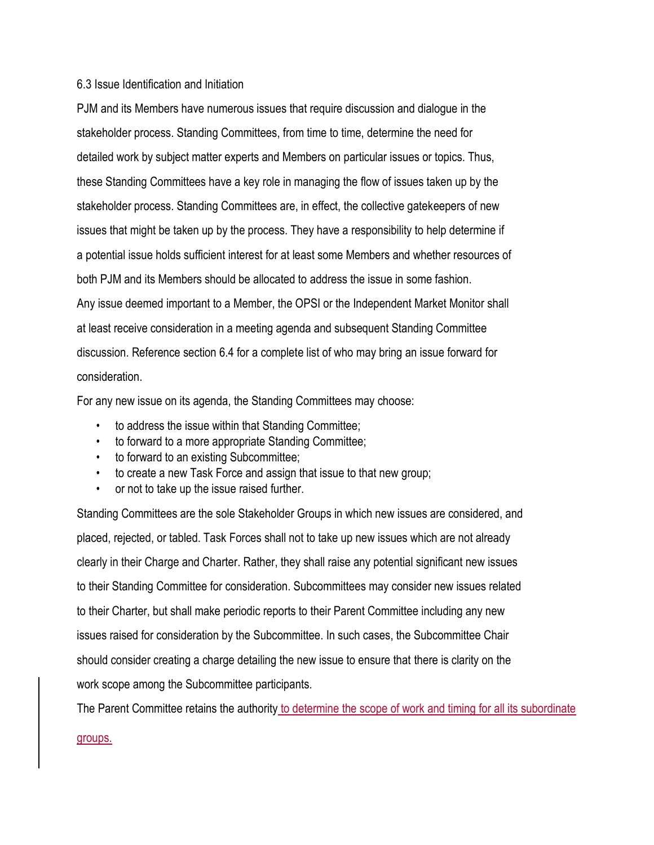## 6.3 Issue Identification and Initiation

PJM and its Members have numerous issues that require discussion and dialogue in the stakeholder process. Standing Committees, from time to time, determine the need for detailed work by subject matter experts and Members on particular issues or topics. Thus, these Standing Committees have a key role in managing the flow of issues taken up by the stakeholder process. Standing Committees are, in effect, the collective gatekeepers of new issues that might be taken up by the process. They have a responsibility to help determine if a potential issue holds sufficient interest for at least some Members and whether resources of both PJM and its Members should be allocated to address the issue in some fashion. Any issue deemed important to a Member, the OPSI or the Independent Market Monitor shall at least receive consideration in a meeting agenda and subsequent Standing Committee discussion. Reference section 6.4 for a complete list of who may bring an issue forward for consideration.

For any new issue on its agenda, the Standing Committees may choose:

- to address the issue within that Standing Committee;
- to forward to a more appropriate Standing Committee;
- to forward to an existing Subcommittee;
- to create a new Task Force and assign that issue to that new group;
- or not to take up the issue raised further.

Standing Committees are the sole Stakeholder Groups in which new issues are considered, and placed, rejected, or tabled. Task Forces shall not to take up new issues which are not already clearly in their Charge and Charter. Rather, they shall raise any potential significant new issues to their Standing Committee for consideration. Subcommittees may consider new issues related to their Charter, but shall make periodic reports to their Parent Committee including any new issues raised for consideration by the Subcommittee. In such cases, the Subcommittee Chair should consider creating a charge detailing the new issue to ensure that there is clarity on the work scope among the Subcommittee participants.

The Parent Committee retains the authority to determine the scope of work and timing for all its subordinate

## groups.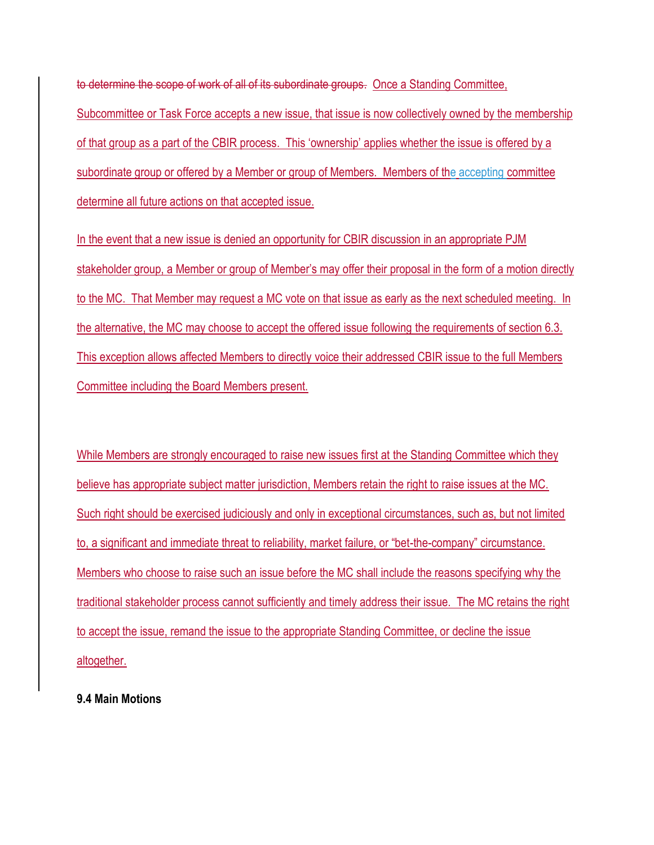to determine the scope of work of all of its subordinate groups. Once a Standing Committee, Subcommittee or Task Force accepts a new issue, that issue is now collectively owned by the membership of that group as a part of the CBIR process. This 'ownership' applies whether the issue is offered by a subordinate group or offered by a Member or group of Members. Members of the accepting committee determine all future actions on that accepted issue.

In the event that a new issue is denied an opportunity for CBIR discussion in an appropriate PJM stakeholder group, a Member or group of Member's may offer their proposal in the form of a motion directly to the MC. That Member may request a MC vote on that issue as early as the next scheduled meeting. In the alternative, the MC may choose to accept the offered issue following the requirements of section 6.3. This exception allows affected Members to directly voice their addressed CBIR issue to the full Members Committee including the Board Members present.

While Members are strongly encouraged to raise new issues first at the Standing Committee which they believe has appropriate subject matter jurisdiction, Members retain the right to raise issues at the MC. Such right should be exercised judiciously and only in exceptional circumstances, such as, but not limited to, a significant and immediate threat to reliability, market failure, or "bet-the-company" circumstance. Members who choose to raise such an issue before the MC shall include the reasons specifying why the traditional stakeholder process cannot sufficiently and timely address their issue. The MC retains the right to accept the issue, remand the issue to the appropriate Standing Committee, or decline the issue altogether.

**9.4 Main Motions**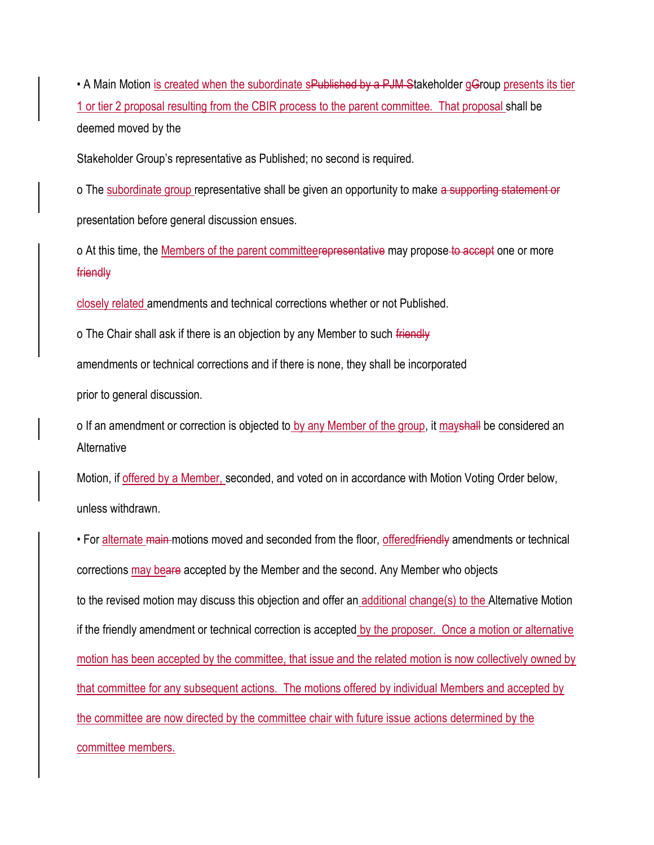• A Main Motion is created when the subordinate sPublished by a PJM Stakeholder gGroup presents its tier 1 or tier 2 proposal resulting from the CBIR process to the parent committee. That proposal shall be deemed moved by the

Stakeholder Group's representative as Published; no second is required.

o The subordinate group representative shall be given an opportunity to make a supporting statement or presentation before general discussion ensues.

o At this time, the <u>Members of the parent committeerepresentative</u> may propose to accept one or more friendly

closely related amendments and technical corrections whether or not Published.

o The Chair shall ask if there is an objection by any Member to such friendly

amendments or technical corrections and if there is none, they shall be incorporated

prior to general discussion.

o If an amendment or correction is objected to by any Member of the group, it mayshall be considered an **Alternative** 

Motion, if offered by a Member, seconded, and voted on in accordance with Motion Voting Order below, unless withdrawn.

• For alternate main motions moved and seconded from the floor, offered friendly amendments or technical corrections may beare accepted by the Member and the second. Any Member who objects to the revised motion may discuss this objection and offer an additional change(s) to the Alternative Motion if the friendly amendment or technical correction is accepted by the proposer. Once a motion or alternative motion has been accepted by the committee, that issue and the related motion is now collectively owned by that committee for any subsequent actions. The motions offered by individual Members and accepted by the committee are now directed by the committee chair with future issue actions determined by the committee members.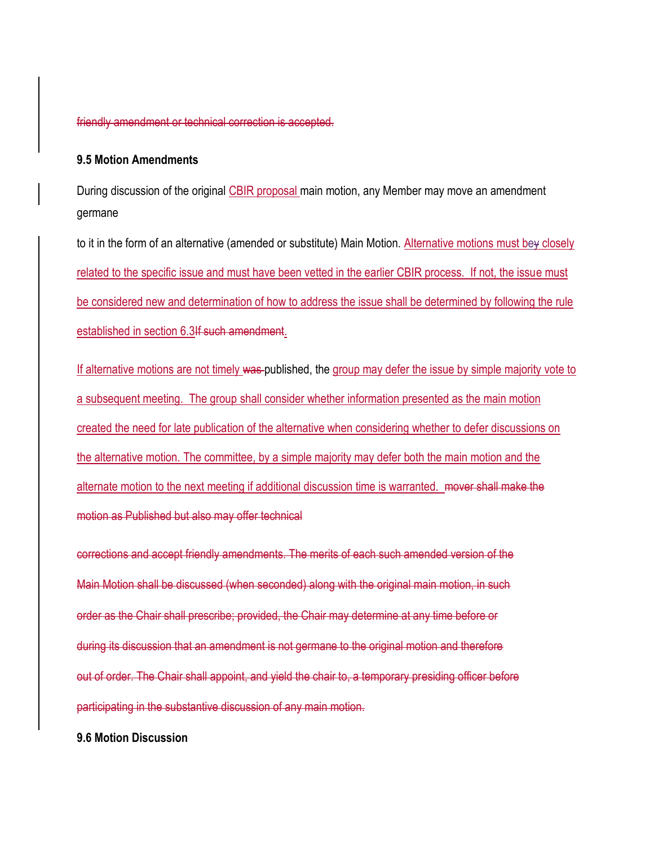friendly amendment or technical correction is accepted.

## **9.5 Motion Amendments**

During discussion of the original CBIR proposal main motion, any Member may move an amendment germane

to it in the form of an alternative (amended or substitute) Main Motion. Alternative motions must bey closely related to the specific issue and must have been vetted in the earlier CBIR process. If not, the issue must be considered new and determination of how to address the issue shall be determined by following the rule established in section 6.3If such amendment.

If alternative motions are not timely was published, the group may defer the issue by simple majority vote to a subsequent meeting. The group shall consider whether information presented as the main motion created the need for late publication of the alternative when considering whether to defer discussions on the alternative motion. The committee, by a simple majority may defer both the main motion and the alternate motion to the next meeting if additional discussion time is warranted. mover shall make the motion as Published but also may offer technical

corrections and accept friendly amendments. The merits of each such amended version of the Main Motion shall be discussed (when seconded) along with the original main motion, in such order as the Chair shall prescribe; provided, the Chair may determine at any time before or during its discussion that an amendment is not germane to the original motion and therefore out of order. The Chair shall appoint, and yield the chair to, a temporary presiding officer before participating in the substantive discussion of any main motion.

**9.6 Motion Discussion**